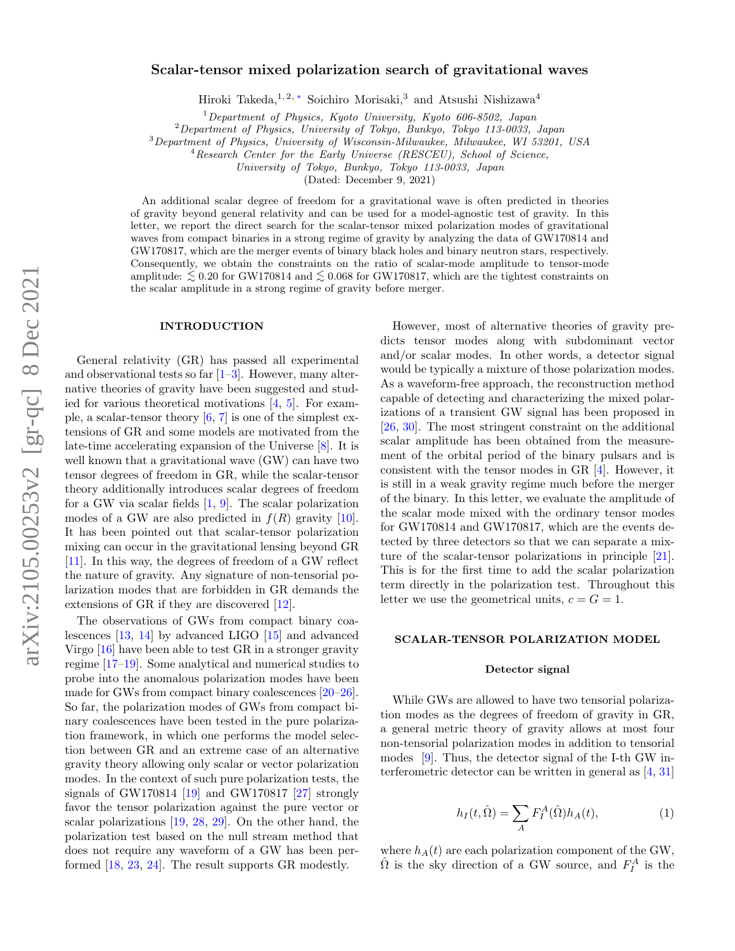# Scalar-tensor mixed polarization search of gravitational waves

Hiroki Takeda,<sup>1,2,\*</sup> Soichiro Morisaki,<sup>3</sup> and Atsushi Nishizawa<sup>4</sup>

<sup>1</sup>Department of Physics, Kyoto University, Kyoto 606-8502, Japan

 $2$ Department of Physics, University of Tokyo, Bunkyo, Tokyo 113-0033, Japan

 $3$ Department of Physics, University of Wisconsin-Milwaukee, Milwaukee, WI 53201, USA

<sup>4</sup>Research Center for the Early Universe (RESCEU), School of Science,

University of Tokyo, Bunkyo, Tokyo 113-0033, Japan

(Dated: December 9, 2021)

An additional scalar degree of freedom for a gravitational wave is often predicted in theories of gravity beyond general relativity and can be used for a model-agnostic test of gravity. In this letter, we report the direct search for the scalar-tensor mixed polarization modes of gravitational waves from compact binaries in a strong regime of gravity by analyzing the data of GW170814 and GW170817, which are the merger events of binary black holes and binary neutron stars, respectively. Consequently, we obtain the constraints on the ratio of scalar-mode amplitude to tensor-mode amplitude:  $\lesssim 0.20$  for GW170814 and  $\lesssim 0.068$  for GW170817, which are the tightest constraints on the scalar amplitude in a strong regime of gravity before merger.

### INTRODUCTION

General relativity (GR) has passed all experimental and observational tests so far  $[1-3]$  $[1-3]$ . However, many alternative theories of gravity have been suggested and studied for various theoretical motivations  $[4, 5]$  $[4, 5]$  $[4, 5]$ . For example, a scalar-tensor theory  $[6, 7]$  $[6, 7]$  $[6, 7]$  is one of the simplest extensions of GR and some models are motivated from the late-time accelerating expansion of the Universe [\[8\]](#page-4-7). It is well known that a gravitational wave (GW) can have two tensor degrees of freedom in GR, while the scalar-tensor theory additionally introduces scalar degrees of freedom for a GW via scalar fields [\[1,](#page-4-1) [9\]](#page-4-8). The scalar polarization modes of a GW are also predicted in  $f(R)$  gravity [\[10\]](#page-4-9). It has been pointed out that scalar-tensor polarization mixing can occur in the gravitational lensing beyond GR [\[11\]](#page-4-10). In this way, the degrees of freedom of a GW reflect the nature of gravity. Any signature of non-tensorial polarization modes that are forbidden in GR demands the extensions of GR if they are discovered [\[12\]](#page-4-11).

The observations of GWs from compact binary coalescences [\[13,](#page-4-12) [14\]](#page-4-13) by advanced LIGO [\[15\]](#page-4-14) and advanced Virgo [\[16\]](#page-4-15) have been able to test GR in a stronger gravity regime [\[17](#page-4-16)[–19\]](#page-4-17). Some analytical and numerical studies to probe into the anomalous polarization modes have been made for GWs from compact binary coalescences [\[20–](#page-4-18)[26\]](#page-4-19). So far, the polarization modes of GWs from compact binary coalescences have been tested in the pure polarization framework, in which one performs the model selection between GR and an extreme case of an alternative gravity theory allowing only scalar or vector polarization modes. In the context of such pure polarization tests, the signals of GW170814 [\[19\]](#page-4-17) and GW170817 [\[27\]](#page-4-20) strongly favor the tensor polarization against the pure vector or scalar polarizations [\[19,](#page-4-17) [28,](#page-4-21) [29\]](#page-4-22). On the other hand, the polarization test based on the null stream method that does not require any waveform of a GW has been performed [\[18,](#page-4-23) [23,](#page-4-24) [24\]](#page-4-25). The result supports GR modestly.

However, most of alternative theories of gravity predicts tensor modes along with subdominant vector and/or scalar modes. In other words, a detector signal would be typically a mixture of those polarization modes. As a waveform-free approach, the reconstruction method capable of detecting and characterizing the mixed polarizations of a transient GW signal has been proposed in [\[26,](#page-4-19) [30\]](#page-4-26). The most stringent constraint on the additional scalar amplitude has been obtained from the measurement of the orbital period of the binary pulsars and is consistent with the tensor modes in GR [\[4\]](#page-4-3). However, it is still in a weak gravity regime much before the merger of the binary. In this letter, we evaluate the amplitude of the scalar mode mixed with the ordinary tensor modes for GW170814 and GW170817, which are the events detected by three detectors so that we can separate a mixture of the scalar-tensor polarizations in principle [\[21\]](#page-4-27). This is for the first time to add the scalar polarization term directly in the polarization test. Throughout this letter we use the geometrical units,  $c = G = 1$ .

### SCALAR-TENSOR POLARIZATION MODEL

#### Detector signal

While GWs are allowed to have two tensorial polarization modes as the degrees of freedom of gravity in GR, a general metric theory of gravity allows at most four non-tensorial polarization modes in addition to tensorial modes [\[9\]](#page-4-8). Thus, the detector signal of the I-th GW interferometric detector can be written in general as [\[4,](#page-4-3) [31\]](#page-4-28)

$$
h_I(t,\hat{\Omega}) = \sum_A F_I^A(\hat{\Omega}) h_A(t), \tag{1}
$$

where  $h_A(t)$  are each polarization component of the GW,  $\hat{\Omega}$  is the sky direction of a GW source, and  $F_I^A$  is the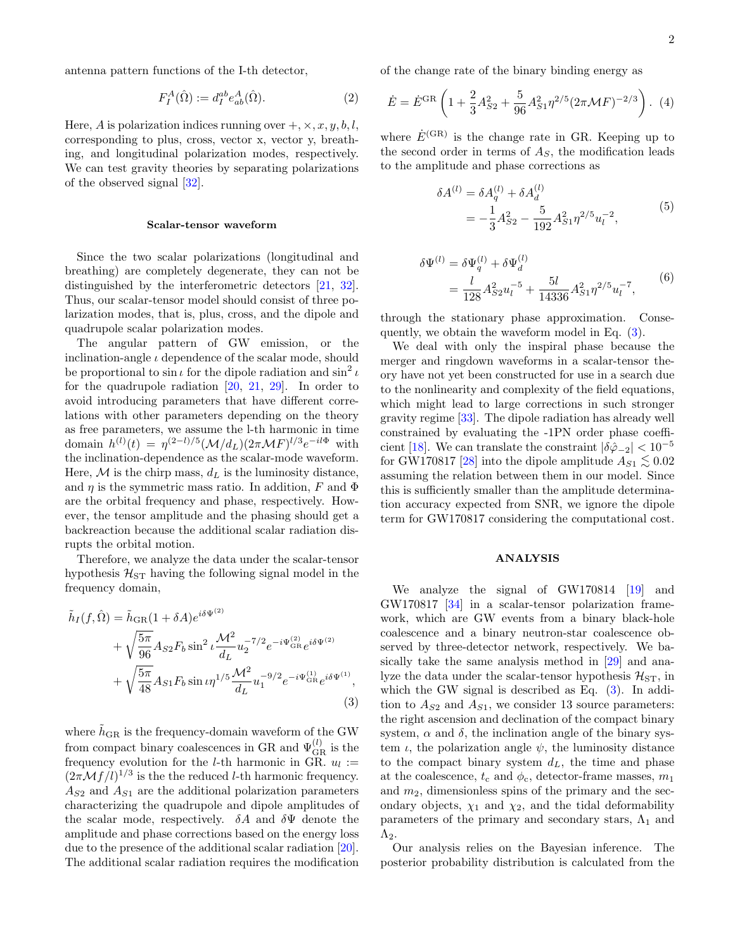antenna pattern functions of the I-th detector,

$$
F_I^A(\hat{\Omega}) := d_I^{ab} e^A_{ab}(\hat{\Omega}).\tag{2}
$$

Here, A is polarization indices running over  $+$ ,  $\times$ ,  $x, y, b, l$ , corresponding to plus, cross, vector x, vector y, breathing, and longitudinal polarization modes, respectively. We can test gravity theories by separating polarizations of the observed signal [\[32\]](#page-5-0).

### Scalar-tensor waveform

Since the two scalar polarizations (longitudinal and breathing) are completely degenerate, they can not be distinguished by the interferometric detectors [\[21,](#page-4-27) [32\]](#page-5-0). Thus, our scalar-tensor model should consist of three polarization modes, that is, plus, cross, and the dipole and quadrupole scalar polarization modes.

The angular pattern of GW emission, or the inclination-angle  $\iota$  dependence of the scalar mode, should be proportional to  $\sin \iota$  for the dipole radiation and  $\sin^2 \iota$ for the quadrupole radiation [\[20,](#page-4-18) [21,](#page-4-27) [29\]](#page-4-22). In order to avoid introducing parameters that have different correlations with other parameters depending on the theory as free parameters, we assume the l-th harmonic in time domain  $h^{(l)}(t) = \eta^{(2-l)/5} (\mathcal{M}/d_L) (2\pi \mathcal{M} F)^{l/3} e^{-il\Phi}$  with the inclination-dependence as the scalar-mode waveform. Here,  $M$  is the chirp mass,  $d<sub>L</sub>$  is the luminosity distance, and  $\eta$  is the symmetric mass ratio. In addition, F and  $\Phi$ are the orbital frequency and phase, respectively. However, the tensor amplitude and the phasing should get a backreaction because the additional scalar radiation disrupts the orbital motion.

Therefore, we analyze the data under the scalar-tensor hypothesis  $\mathcal{H}_{ST}$  having the following signal model in the frequency domain,

<span id="page-1-0"></span>
$$
\tilde{h}_I(f, \hat{\Omega}) = \tilde{h}_{GR}(1 + \delta A)e^{i\delta \Psi^{(2)}}
$$
\n
$$
+ \sqrt{\frac{5\pi}{96}} A_{S2} F_b \sin^2 \iota \frac{\mathcal{M}^2}{d_L} u_2^{-7/2} e^{-i\Psi_{GR}^{(2)} e^{i\delta \Psi^{(2)}}}
$$
\n
$$
+ \sqrt{\frac{5\pi}{48}} A_{S1} F_b \sin \iota \eta^{1/5} \frac{\mathcal{M}^2}{d_L} u_1^{-9/2} e^{-i\Psi_{GR}^{(1)} e^{i\delta \Psi^{(1)}}},
$$
\n(3)

where  $\tilde{h}_{\text{GR}}$  is the frequency-domain waveform of the GW from compact binary coalescences in GR and  $\Psi_{\text{GR}}^{(l)}$  is the frequency evolution for the *l*-th harmonic in GR.  $u_l :=$  $(2\pi \mathcal{M}f/l)^{1/3}$  is the the reduced *l*-th harmonic frequency.  $A_{S2}$  and  $A_{S1}$  are the additional polarization parameters characterizing the quadrupole and dipole amplitudes of the scalar mode, respectively.  $\delta A$  and  $\delta \Psi$  denote the amplitude and phase corrections based on the energy loss due to the presence of the additional scalar radiation [\[20\]](#page-4-18). The additional scalar radiation requires the modification

of the change rate of the binary binding energy as

$$
\dot{E} = \dot{E}^{\rm GR} \left( 1 + \frac{2}{3} A_{S2}^2 + \frac{5}{96} A_{S1}^2 \eta^{2/5} (2\pi \mathcal{M} F)^{-2/3} \right). (4)
$$

where  $\dot{E}^{\text{(GR)}}$  is the change rate in GR. Keeping up to the second order in terms of  $A<sub>S</sub>$ , the modification leads to the amplitude and phase corrections as

$$
\delta A^{(l)} = \delta A_q^{(l)} + \delta A_d^{(l)}
$$
  
=  $-\frac{1}{3} A_{S2}^2 - \frac{5}{192} A_{S1}^2 \eta^{2/5} u_l^{-2},$  (5)

$$
\delta\Psi^{(l)} = \delta\Psi_q^{(l)} + \delta\Psi_d^{(l)}
$$
  
= 
$$
\frac{l}{128}A_{S2}^2u_l^{-5} + \frac{5l}{14336}A_{S1}^2\eta^{2/5}u_l^{-7},
$$
 (6)

through the stationary phase approximation. Consequently, we obtain the waveform model in Eq. [\(3\)](#page-1-0).

We deal with only the inspiral phase because the merger and ringdown waveforms in a scalar-tensor theory have not yet been constructed for use in a search due to the nonlinearity and complexity of the field equations, which might lead to large corrections in such stronger gravity regime [\[33\]](#page-5-1). The dipole radiation has already well constrained by evaluating the -1PN order phase coeffi-cient [\[18\]](#page-4-23). We can translate the constraint  $|\delta \hat{\varphi}_-| < 10^{-5}$ for GW170817 [\[28\]](#page-4-21) into the dipole amplitude  $A_{S1} \lesssim 0.02$ assuming the relation between them in our model. Since this is sufficiently smaller than the amplitude determination accuracy expected from SNR, we ignore the dipole term for GW170817 considering the computational cost.

#### ANALYSIS

We analyze the signal of GW170814 [\[19\]](#page-4-17) and GW170817 [\[34\]](#page-5-2) in a scalar-tensor polarization framework, which are GW events from a binary black-hole coalescence and a binary neutron-star coalescence observed by three-detector network, respectively. We basically take the same analysis method in [\[29\]](#page-4-22) and analyze the data under the scalar-tensor hypothesis  $\mathcal{H}_{ST}$ , in which the GW signal is described as Eq. [\(3\)](#page-1-0). In addition to  $A_{S2}$  and  $A_{S1}$ , we consider 13 source parameters: the right ascension and declination of the compact binary system,  $\alpha$  and  $\delta$ , the inclination angle of the binary system  $\iota$ , the polarization angle  $\psi$ , the luminosity distance to the compact binary system  $d_L$ , the time and phase at the coalescence,  $t_c$  and  $\phi_c$ , detector-frame masses,  $m_1$ and  $m_2$ , dimensionless spins of the primary and the secondary objects,  $\chi_1$  and  $\chi_2$ , and the tidal deformability parameters of the primary and secondary stars,  $\Lambda_1$  and  $Λ_2$ .

Our analysis relies on the Bayesian inference. The posterior probability distribution is calculated from the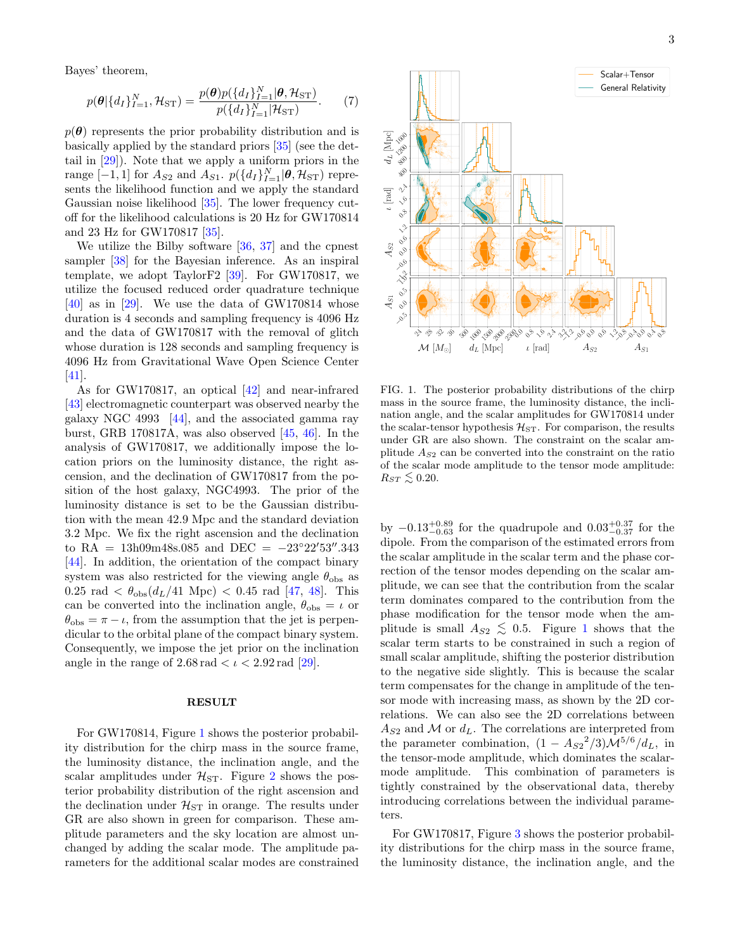Bayes' theorem,

$$
p(\boldsymbol{\theta}|\{d_I\}_{I=1}^N, \mathcal{H}_{ST}) = \frac{p(\boldsymbol{\theta})p(\{d_I\}_{I=1}^N|\boldsymbol{\theta}, \mathcal{H}_{ST})}{p(\{d_I\}_{I=1}^N|\mathcal{H}_{ST})}.
$$
 (7)

 $p(\theta)$  represents the prior probability distribution and is basically applied by the standard priors [\[35\]](#page-5-3) (see the dettail in [\[29\]](#page-4-22)). Note that we apply a uniform priors in the range  $[-1,1]$  for  $A_{S2}$  and  $A_{S1}$ .  $p({d_I}_{I=1}^N|\boldsymbol{\theta}, \mathcal{H}_{ST})$  represents the likelihood function and we apply the standard Gaussian noise likelihood [\[35\]](#page-5-3). The lower frequency cutoff for the likelihood calculations is 20 Hz for GW170814 and 23 Hz for GW170817 [\[35\]](#page-5-3).

We utilize the Bilby software [\[36,](#page-5-4) [37\]](#page-5-5) and the cpnest sampler [\[38\]](#page-5-6) for the Bayesian inference. As an inspiral template, we adopt TaylorF2 [\[39\]](#page-5-7). For GW170817, we utilize the focused reduced order quadrature technique  $[40]$  as in  $[29]$ . We use the data of GW170814 whose duration is 4 seconds and sampling frequency is 4096 Hz and the data of GW170817 with the removal of glitch whose duration is 128 seconds and sampling frequency is 4096 Hz from Gravitational Wave Open Science Center [\[41\]](#page-5-9).

As for GW170817, an optical [\[42\]](#page-5-10) and near-infrared [\[43\]](#page-5-11) electromagnetic counterpart was observed nearby the galaxy NGC 4993 [\[44\]](#page-5-12), and the associated gamma ray burst, GRB 170817A, was also observed [\[45,](#page-5-13) [46\]](#page-5-14). In the analysis of GW170817, we additionally impose the location priors on the luminosity distance, the right ascension, and the declination of GW170817 from the position of the host galaxy, NGC4993. The prior of the luminosity distance is set to be the Gaussian distribution with the mean 42.9 Mpc and the standard deviation 3.2 Mpc. We fix the right ascension and the declination to RA =  $13h09m48s.085$  and DEC =  $-23°22'53''.343$ [\[44\]](#page-5-12). In addition, the orientation of the compact binary system was also restricted for the viewing angle  $\theta_{\rm obs}$  as  $0.25 \text{ rad} < \theta_{\text{obs}}(d_L/41 \text{ Mpc}) < 0.45 \text{ rad } [47, 48].$  $0.25 \text{ rad} < \theta_{\text{obs}}(d_L/41 \text{ Mpc}) < 0.45 \text{ rad } [47, 48].$  $0.25 \text{ rad} < \theta_{\text{obs}}(d_L/41 \text{ Mpc}) < 0.45 \text{ rad } [47, 48].$  $0.25 \text{ rad} < \theta_{\text{obs}}(d_L/41 \text{ Mpc}) < 0.45 \text{ rad } [47, 48].$  $0.25 \text{ rad} < \theta_{\text{obs}}(d_L/41 \text{ Mpc}) < 0.45 \text{ rad } [47, 48].$  This can be converted into the inclination angle,  $\theta_{\rm obs} = \iota$  or  $\theta_{\rm obs} = \pi - \iota$ , from the assumption that the jet is perpendicular to the orbital plane of the compact binary system. Consequently, we impose the jet prior on the inclination angle in the range of  $2.68 \text{ rad} < \iota < 2.92 \text{ rad } [29]$  $2.68 \text{ rad} < \iota < 2.92 \text{ rad } [29]$ .

## **RESULT**

For GW170814, Figure [1](#page-2-0) shows the posterior probability distribution for the chirp mass in the source frame, the luminosity distance, the inclination angle, and the scalar amplitudes under  $\mathcal{H}_{ST}$ . Figure [2](#page-3-0) shows the posterior probability distribution of the right ascension and the declination under  $\mathcal{H}_{ST}$  in orange. The results under GR are also shown in green for comparison. These amplitude parameters and the sky location are almost unchanged by adding the scalar mode. The amplitude parameters for the additional scalar modes are constrained



<span id="page-2-0"></span>FIG. 1. The posterior probability distributions of the chirp mass in the source frame, the luminosity distance, the inclination angle, and the scalar amplitudes for GW170814 under the scalar-tensor hypothesis  $\mathcal{H}_{ST}$ . For comparison, the results under GR are also shown. The constraint on the scalar amplitude  $A_{S2}$  can be converted into the constraint on the ratio of the scalar mode amplitude to the tensor mode amplitude:  $R_{ST} \leq 0.20$ .

by  $-0.13_{-0.63}^{+0.89}$  for the quadrupole and  $0.03_{-0.37}^{+0.37}$  for the dipole. From the comparison of the estimated errors from the scalar amplitude in the scalar term and the phase correction of the tensor modes depending on the scalar amplitude, we can see that the contribution from the scalar term dominates compared to the contribution from the phase modification for the tensor mode when the amplitude is small  $A_{S2} \leq 0.5$ . Figure [1](#page-2-0) shows that the scalar term starts to be constrained in such a region of small scalar amplitude, shifting the posterior distribution to the negative side slightly. This is because the scalar term compensates for the change in amplitude of the tensor mode with increasing mass, as shown by the 2D correlations. We can also see the 2D correlations between  $A_{S2}$  and M or  $d_L$ . The correlations are interpreted from the parameter combination,  $(1 - A_{S2}^2/3) \mathcal{M}^{5/6}/d_L$ , in the tensor-mode amplitude, which dominates the scalarmode amplitude. This combination of parameters is tightly constrained by the observational data, thereby introducing correlations between the individual parameters.

For GW170817, Figure [3](#page-3-1) shows the posterior probability distributions for the chirp mass in the source frame, the luminosity distance, the inclination angle, and the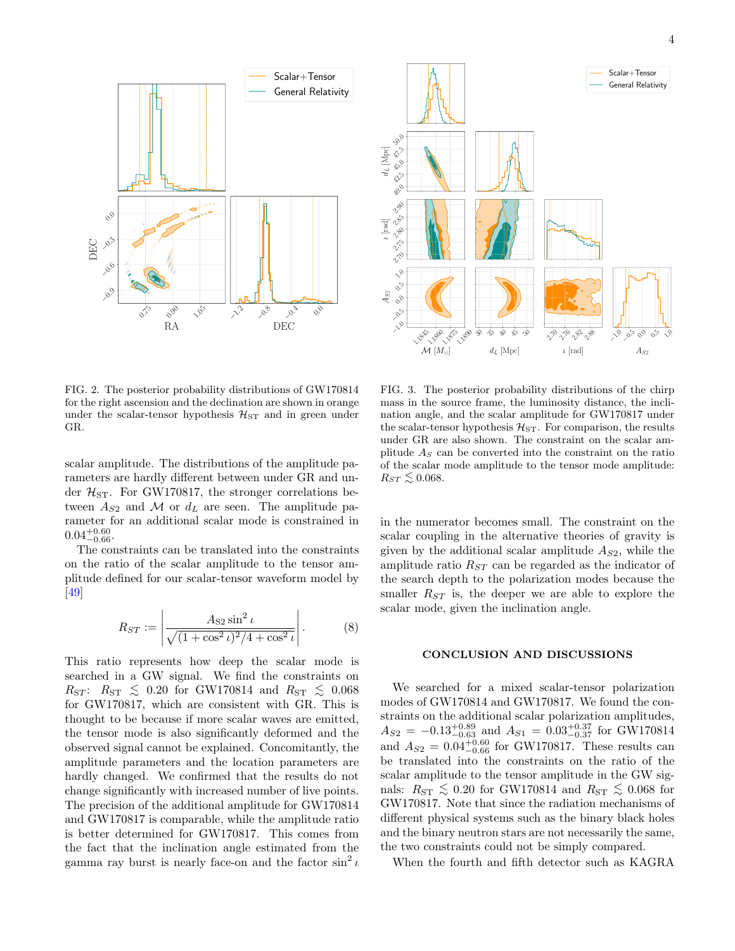

<span id="page-3-0"></span>FIG. 2. The posterior probability distributions of GW170814 for the right ascension and the declination are shown in orange under the scalar-tensor hypothesis  $\mathcal{H}_{ST}$  and in green under GR.

scalar amplitude. The distributions of the amplitude parameters are hardly different between under GR and under  $\mathcal{H}_{ST}$ . For GW170817, the stronger correlations between  $A_{S2}$  and M or  $d_L$  are seen. The amplitude parameter for an additional scalar mode is constrained in  $0.04^{+0.60}_{-0.66}$ .

The constraints can be translated into the constraints on the ratio of the scalar amplitude to the tensor amplitude defined for our scalar-tensor waveform model by [\[49\]](#page-5-17)

$$
R_{ST} := \left| \frac{A_{S2} \sin^2 \iota}{\sqrt{(1 + \cos^2 \iota)^2 / 4 + \cos^2 \iota}} \right|.
$$
 (8)

This ratio represents how deep the scalar mode is searched in a GW signal. We find the constraints on  $R_{ST}$ :  $R_{ST} \leq 0.20$  for GW170814 and  $R_{ST} \leq 0.068$ for GW170817, which are consistent with GR. This is thought to be because if more scalar waves are emitted, the tensor mode is also significantly deformed and the observed signal cannot be explained. Concomitantly, the amplitude parameters and the location parameters are hardly changed. We confirmed that the results do not change significantly with increased number of live points. The precision of the additional amplitude for GW170814 and GW170817 is comparable, while the amplitude ratio is better determined for GW170817. This comes from the fact that the inclination angle estimated from the gamma ray burst is nearly face-on and the factor  $\sin^2 i$ 



<span id="page-3-1"></span>FIG. 3. The posterior probability distributions of the chirp mass in the source frame, the luminosity distance, the inclination angle, and the scalar amplitude for GW170817 under the scalar-tensor hypothesis  $\mathcal{H}_{ST}$ . For comparison, the results under GR are also shown. The constraint on the scalar amplitude  $A<sub>S</sub>$  can be converted into the constraint on the ratio of the scalar mode amplitude to the tensor mode amplitude:  $R_{ST} \leq 0.068$ .

in the numerator becomes small. The constraint on the scalar coupling in the alternative theories of gravity is given by the additional scalar amplitude  $A_{S2}$ , while the amplitude ratio  $R_{ST}$  can be regarded as the indicator of the search depth to the polarization modes because the smaller  $R_{ST}$  is, the deeper we are able to explore the scalar mode, given the inclination angle.

# CONCLUSION AND DISCUSSIONS

We searched for a mixed scalar-tensor polarization modes of GW170814 and GW170817. We found the constraints on the additional scalar polarization amplitudes,  $A_{S2} = -0.13_{-0.63}^{+0.89}$  and  $A_{S1} = 0.03_{-0.37}^{+0.37}$  for GW170814 and  $A_{S2} = 0.04_{-0.66}^{+0.60}$  for GW170817. These results can be translated into the constraints on the ratio of the scalar amplitude to the tensor amplitude in the GW signals:  $R_{ST} \leq 0.20$  for GW170814 and  $R_{ST} \leq 0.068$  for GW170817. Note that since the radiation mechanisms of different physical systems such as the binary black holes and the binary neutron stars are not necessarily the same, the two constraints could not be simply compared.

When the fourth and fifth detector such as KAGRA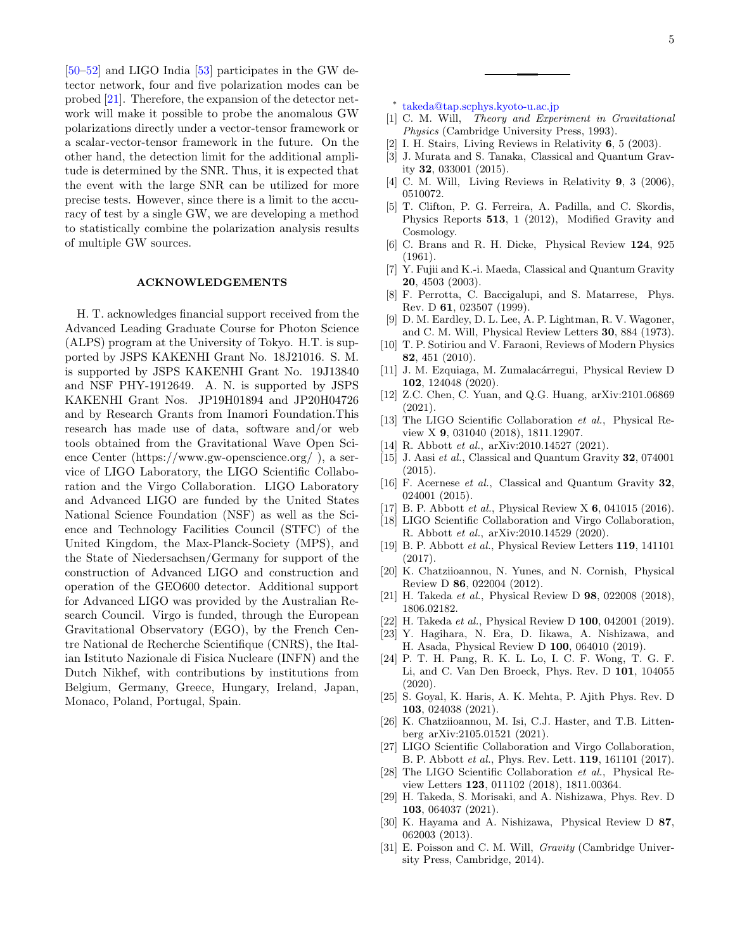[\[50–](#page-5-18)[52\]](#page-5-19) and LIGO India [\[53\]](#page-5-20) participates in the GW detector network, four and five polarization modes can be probed [\[21\]](#page-4-27). Therefore, the expansion of the detector network will make it possible to probe the anomalous GW polarizations directly under a vector-tensor framework or a scalar-vector-tensor framework in the future. On the other hand, the detection limit for the additional amplitude is determined by the SNR. Thus, it is expected that the event with the large SNR can be utilized for more precise tests. However, since there is a limit to the accuracy of test by a single GW, we are developing a method to statistically combine the polarization analysis results of multiple GW sources.

## ACKNOWLEDGEMENTS

H. T. acknowledges financial support received from the Advanced Leading Graduate Course for Photon Science (ALPS) program at the University of Tokyo. H.T. is supported by JSPS KAKENHI Grant No. 18J21016. S. M. is supported by JSPS KAKENHI Grant No. 19J13840 and NSF PHY-1912649. A. N. is supported by JSPS KAKENHI Grant Nos. JP19H01894 and JP20H04726 and by Research Grants from Inamori Foundation.This research has made use of data, software and/or web tools obtained from the Gravitational Wave Open Science Center (https://www.gw-openscience.org/ ), a service of LIGO Laboratory, the LIGO Scientific Collaboration and the Virgo Collaboration. LIGO Laboratory and Advanced LIGO are funded by the United States National Science Foundation (NSF) as well as the Science and Technology Facilities Council (STFC) of the United Kingdom, the Max-Planck-Society (MPS), and the State of Niedersachsen/Germany for support of the construction of Advanced LIGO and construction and operation of the GEO600 detector. Additional support for Advanced LIGO was provided by the Australian Research Council. Virgo is funded, through the European Gravitational Observatory (EGO), by the French Centre National de Recherche Scientifique (CNRS), the Italian Istituto Nazionale di Fisica Nucleare (INFN) and the Dutch Nikhef, with contributions by institutions from Belgium, Germany, Greece, Hungary, Ireland, Japan, Monaco, Poland, Portugal, Spain.

- <span id="page-4-0"></span>∗ [takeda@tap.scphys.kyoto-u.ac.jp](mailto:takeda@tap.scphys.kyoto-u.ac.jp)
- <span id="page-4-1"></span>[1] C. M. Will, Theory and Experiment in Gravitational Physics (Cambridge University Press, 1993).
- [2] I. H. Stairs, Living Reviews in Relativity 6, 5 (2003).
- <span id="page-4-2"></span>[3] J. Murata and S. Tanaka, Classical and Quantum Gravity 32, 033001 (2015).
- <span id="page-4-3"></span>[4] C. M. Will, Living Reviews in Relativity 9, 3 (2006), 0510072.
- <span id="page-4-4"></span>[5] T. Clifton, P. G. Ferreira, A. Padilla, and C. Skordis, Physics Reports 513, 1 (2012), Modified Gravity and Cosmology.
- <span id="page-4-5"></span>[6] C. Brans and R. H. Dicke, Physical Review 124, 925 (1961).
- <span id="page-4-6"></span>[7] Y. Fujii and K.-i. Maeda, Classical and Quantum Gravity 20, 4503 (2003).
- <span id="page-4-7"></span>[8] F. Perrotta, C. Baccigalupi, and S. Matarrese, Phys. Rev. D 61, 023507 (1999).
- <span id="page-4-8"></span>[9] D. M. Eardley, D. L. Lee, A. P. Lightman, R. V. Wagoner, and C. M. Will, Physical Review Letters 30, 884 (1973).
- <span id="page-4-9"></span>[10] T. P. Sotiriou and V. Faraoni, Reviews of Modern Physics 82, 451 (2010).
- <span id="page-4-10"></span>[11] J. M. Ezquiaga, M. Zumalacárregui, Physical Review D 102, 124048 (2020).
- <span id="page-4-11"></span>[12] Z.C. Chen, C. Yuan, and Q.G. Huang, arXiv:2101.06869 (2021).
- <span id="page-4-12"></span>[13] The LIGO Scientific Collaboration et al., Physical Review X 9, 031040 (2018), 1811.12907.
- <span id="page-4-13"></span>[14] R. Abbott *et al.*, arXiv:2010.14527 (2021).
- <span id="page-4-14"></span>[15] J. Aasi et al., Classical and Quantum Gravity 32, 074001 (2015).
- <span id="page-4-15"></span>[16] F. Acernese et al., Classical and Quantum Gravity 32, 024001 (2015).
- <span id="page-4-16"></span>[17] B. P. Abbott *et al.*, Physical Review X **6**, 041015 (2016).
- <span id="page-4-23"></span>[18] LIGO Scientific Collaboration and Virgo Collaboration, R. Abbott et al., arXiv:2010.14529 (2020).
- <span id="page-4-17"></span>[19] B. P. Abbott et al., Physical Review Letters 119, 141101 (2017).
- <span id="page-4-18"></span>[20] K. Chatziioannou, N. Yunes, and N. Cornish, Physical Review D 86, 022004 (2012).
- <span id="page-4-27"></span>[21] H. Takeda et al., Physical Review D 98, 022008 (2018), 1806.02182.
- [22] H. Takeda et al., Physical Review D 100, 042001 (2019).
- <span id="page-4-24"></span>[23] Y. Hagihara, N. Era, D. Iikawa, A. Nishizawa, and H. Asada, Physical Review D 100, 064010 (2019).
- <span id="page-4-25"></span>[24] P. T. H. Pang, R. K. L. Lo, I. C. F. Wong, T. G. F. Li, and C. Van Den Broeck, Phys. Rev. D 101, 104055  $(2020).$
- [25] S. Goyal, K. Haris, A. K. Mehta, P. Ajith Phys. Rev. D 103, 024038 (2021).
- <span id="page-4-19"></span>[26] K. Chatziioannou, M. Isi, C.J. Haster, and T.B. Littenberg arXiv:2105.01521 (2021).
- <span id="page-4-20"></span>[27] LIGO Scientific Collaboration and Virgo Collaboration, B. P. Abbott et al., Phys. Rev. Lett. 119, 161101 (2017).
- <span id="page-4-21"></span>[28] The LIGO Scientific Collaboration et al., Physical Review Letters 123, 011102 (2018), 1811.00364.
- <span id="page-4-22"></span>[29] H. Takeda, S. Morisaki, and A. Nishizawa, Phys. Rev. D 103, 064037 (2021).
- <span id="page-4-26"></span>[30] K. Hayama and A. Nishizawa, Physical Review D 87, 062003 (2013).
- <span id="page-4-28"></span>[31] E. Poisson and C. M. Will, *Gravity* (Cambridge University Press, Cambridge, 2014).